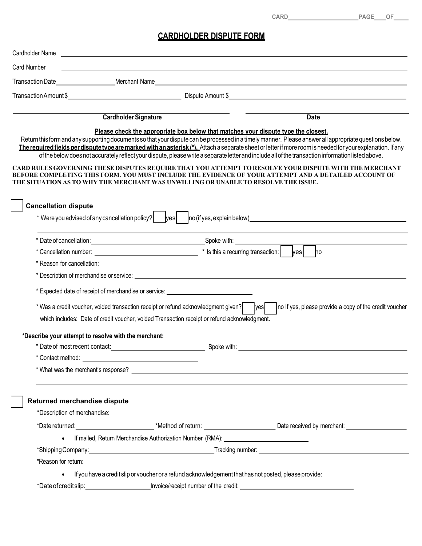## CARDHOLDER DISPUTE FORM

|                                                                                                                                                                                                                                      |                                                                                                                        | <b>CARD CARD</b><br>PAGE OF |
|--------------------------------------------------------------------------------------------------------------------------------------------------------------------------------------------------------------------------------------|------------------------------------------------------------------------------------------------------------------------|-----------------------------|
|                                                                                                                                                                                                                                      |                                                                                                                        |                             |
|                                                                                                                                                                                                                                      | <b>CARDHOLDER DISPUTE FORM</b>                                                                                         |                             |
| Cardholder Name                                                                                                                                                                                                                      | <u> 1980 - Jan Samuel Barbara, margaret eta idazlea (h. 1980).</u>                                                     |                             |
| Card Number                                                                                                                                                                                                                          | <u> 1989 - Johann Stoff, deutscher Stoffen und der Stoffen und der Stoffen und der Stoffen und der Stoffen und der</u> |                             |
| Transaction Date<br>Merchant Name                                                                                                                                                                                                    |                                                                                                                        |                             |
| Transaction Amount \$                                                                                                                                                                                                                | Dispute Amount \$                                                                                                      |                             |
| <b>Cardholder Signature</b>                                                                                                                                                                                                          |                                                                                                                        | <b>Date</b>                 |
|                                                                                                                                                                                                                                      | Please check the appropriate box below that matches your dispute type the closest.                                     |                             |
| Return this form and any supporting documents so that your dispute can be processed in a timely manner. Please answer all appropriate questions below.                                                                               |                                                                                                                        |                             |
| The required fields per dispute type are marked with an asterisk (*). Attach a separate sheet or letter if more room is needed for your explanation. If any                                                                          |                                                                                                                        |                             |
| of the below does not accurately reflect your dispute, please write a separate letter and include all of the transaction information listed above.                                                                                   |                                                                                                                        |                             |
| CARD RULES GOVERNING THESE DISPUTES REQUIRE THAT YOU ATTEMPT TO RESOLVE YOUR DISPUTE WITH THE MERCHANT<br>BEFORE COMPLETING THIS FORM. YOU MUST INCLUDE THE EVIDENCE OF YOUR ATTEMPT AND A DETAILED ACCOUNT OF                       |                                                                                                                        |                             |
| THE SITUATION AS TO WHY THE MERCHANT WAS UNWILLING OR UNABLE TO RESOLVE THE ISSUE.                                                                                                                                                   |                                                                                                                        |                             |
| <b>Cancellation dispute</b>                                                                                                                                                                                                          |                                                                                                                        |                             |
|                                                                                                                                                                                                                                      |                                                                                                                        |                             |
|                                                                                                                                                                                                                                      |                                                                                                                        |                             |
|                                                                                                                                                                                                                                      |                                                                                                                        |                             |
|                                                                                                                                                                                                                                      |                                                                                                                        |                             |
|                                                                                                                                                                                                                                      |                                                                                                                        |                             |
|                                                                                                                                                                                                                                      |                                                                                                                        |                             |
|                                                                                                                                                                                                                                      |                                                                                                                        |                             |
| * Expected date of receipt of merchandise or service: __________________________                                                                                                                                                     |                                                                                                                        |                             |
| * Was a credit voucher, voided transaction receipt or refund acknowledgment given?    yes   no If yes, please provide a copy of the credit voucher                                                                                   |                                                                                                                        |                             |
| which includes: Date of credit voucher, voided Transaction receipt or refund acknowledgment.                                                                                                                                         |                                                                                                                        |                             |
|                                                                                                                                                                                                                                      |                                                                                                                        |                             |
| *Describe your attempt to resolve with the merchant:                                                                                                                                                                                 |                                                                                                                        |                             |
|                                                                                                                                                                                                                                      |                                                                                                                        |                             |
|                                                                                                                                                                                                                                      |                                                                                                                        |                             |
|                                                                                                                                                                                                                                      |                                                                                                                        |                             |
|                                                                                                                                                                                                                                      |                                                                                                                        |                             |
| Returned merchandise dispute                                                                                                                                                                                                         |                                                                                                                        |                             |
|                                                                                                                                                                                                                                      |                                                                                                                        |                             |
| *Date returned: <u>Consumer Community of the set of the set of the set of the set of the set of the set of the set of the set of the set of the set of the set of the set of the set of the set of the set of the set of the set</u> |                                                                                                                        |                             |
|                                                                                                                                                                                                                                      | • If mailed, Return Merchandise Authorization Number (RMA): 1988 1998 1999                                             |                             |
|                                                                                                                                                                                                                                      |                                                                                                                        |                             |
|                                                                                                                                                                                                                                      | • If you have a credit slip or voucher or a refund acknowledgement that has not posted, please provide:                |                             |
|                                                                                                                                                                                                                                      |                                                                                                                        |                             |
|                                                                                                                                                                                                                                      |                                                                                                                        |                             |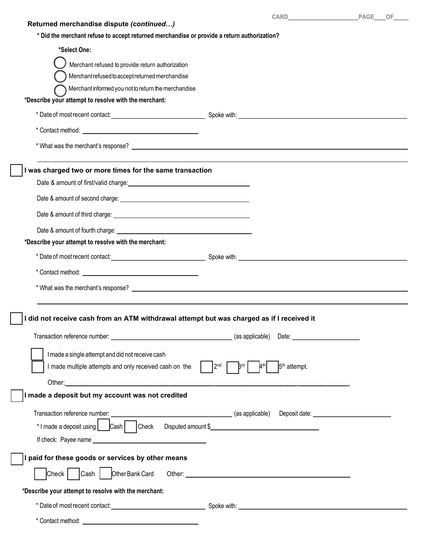| <b>CARD CARD</b><br>PAGE OF<br>Returned merchandise dispute (continued)<br>* Did the merchant refuse to accept returned merchandise or provide a return authorization?<br>*Select One:<br>Merchant refused to provide return authorization<br>Merchantrefused to accept returned merchandise<br>Merchant informed you not to return the merchandise<br>*Describe your attempt to resolve with the merchant:<br>* Date of most recent contact: example and the set of the Spoke with:<br>* What was the merchant's response?<br>was charged two or more times for the same transaction<br>*Describe your attempt to resolve with the merchant:<br>* Date of most recent contact: example and contact: Spoke with: Spoke with:<br>* What was the merchant's response? <b>Solution</b> Contact Contact Contact Contact Contact Contact Contact Contact Contact Contact Contact Contact Contact Contact Contact Contact Contact Contact Contact Contact Contact Contac<br>did not receive cash from an ATM withdrawal attempt but was charged as if I received it<br>I made a single attempt and did not receive cash<br>I made multiple attempts and only received cash on the $\vert$ $\vert$ 2 <sup>nd</sup> $\vert$<br><b>Brd</b><br>5 <sup>th</sup> attempt.<br>made a deposit but my account was not credited<br>Transaction reference number:<br>*I made a deposit using Cash   Check Disputed amount \$<br>$\vert$ I paid for these goods or services by other means<br>Other Bank Card<br>$ $ Cash $ $<br>Check  <br>*Describe your attempt to resolve with the merchant:<br>* Date of most recent contact: <u>contact: example and service of spoke with:</u> contact: contact: contact: |  |  |  |
|------------------------------------------------------------------------------------------------------------------------------------------------------------------------------------------------------------------------------------------------------------------------------------------------------------------------------------------------------------------------------------------------------------------------------------------------------------------------------------------------------------------------------------------------------------------------------------------------------------------------------------------------------------------------------------------------------------------------------------------------------------------------------------------------------------------------------------------------------------------------------------------------------------------------------------------------------------------------------------------------------------------------------------------------------------------------------------------------------------------------------------------------------------------------------------------------------------------------------------------------------------------------------------------------------------------------------------------------------------------------------------------------------------------------------------------------------------------------------------------------------------------------------------------------------------------------------------------------------------------------------------------------------------------------------------------------|--|--|--|
|                                                                                                                                                                                                                                                                                                                                                                                                                                                                                                                                                                                                                                                                                                                                                                                                                                                                                                                                                                                                                                                                                                                                                                                                                                                                                                                                                                                                                                                                                                                                                                                                                                                                                                |  |  |  |
|                                                                                                                                                                                                                                                                                                                                                                                                                                                                                                                                                                                                                                                                                                                                                                                                                                                                                                                                                                                                                                                                                                                                                                                                                                                                                                                                                                                                                                                                                                                                                                                                                                                                                                |  |  |  |
|                                                                                                                                                                                                                                                                                                                                                                                                                                                                                                                                                                                                                                                                                                                                                                                                                                                                                                                                                                                                                                                                                                                                                                                                                                                                                                                                                                                                                                                                                                                                                                                                                                                                                                |  |  |  |
|                                                                                                                                                                                                                                                                                                                                                                                                                                                                                                                                                                                                                                                                                                                                                                                                                                                                                                                                                                                                                                                                                                                                                                                                                                                                                                                                                                                                                                                                                                                                                                                                                                                                                                |  |  |  |
|                                                                                                                                                                                                                                                                                                                                                                                                                                                                                                                                                                                                                                                                                                                                                                                                                                                                                                                                                                                                                                                                                                                                                                                                                                                                                                                                                                                                                                                                                                                                                                                                                                                                                                |  |  |  |
|                                                                                                                                                                                                                                                                                                                                                                                                                                                                                                                                                                                                                                                                                                                                                                                                                                                                                                                                                                                                                                                                                                                                                                                                                                                                                                                                                                                                                                                                                                                                                                                                                                                                                                |  |  |  |
|                                                                                                                                                                                                                                                                                                                                                                                                                                                                                                                                                                                                                                                                                                                                                                                                                                                                                                                                                                                                                                                                                                                                                                                                                                                                                                                                                                                                                                                                                                                                                                                                                                                                                                |  |  |  |
|                                                                                                                                                                                                                                                                                                                                                                                                                                                                                                                                                                                                                                                                                                                                                                                                                                                                                                                                                                                                                                                                                                                                                                                                                                                                                                                                                                                                                                                                                                                                                                                                                                                                                                |  |  |  |
|                                                                                                                                                                                                                                                                                                                                                                                                                                                                                                                                                                                                                                                                                                                                                                                                                                                                                                                                                                                                                                                                                                                                                                                                                                                                                                                                                                                                                                                                                                                                                                                                                                                                                                |  |  |  |
|                                                                                                                                                                                                                                                                                                                                                                                                                                                                                                                                                                                                                                                                                                                                                                                                                                                                                                                                                                                                                                                                                                                                                                                                                                                                                                                                                                                                                                                                                                                                                                                                                                                                                                |  |  |  |
|                                                                                                                                                                                                                                                                                                                                                                                                                                                                                                                                                                                                                                                                                                                                                                                                                                                                                                                                                                                                                                                                                                                                                                                                                                                                                                                                                                                                                                                                                                                                                                                                                                                                                                |  |  |  |
|                                                                                                                                                                                                                                                                                                                                                                                                                                                                                                                                                                                                                                                                                                                                                                                                                                                                                                                                                                                                                                                                                                                                                                                                                                                                                                                                                                                                                                                                                                                                                                                                                                                                                                |  |  |  |
|                                                                                                                                                                                                                                                                                                                                                                                                                                                                                                                                                                                                                                                                                                                                                                                                                                                                                                                                                                                                                                                                                                                                                                                                                                                                                                                                                                                                                                                                                                                                                                                                                                                                                                |  |  |  |
|                                                                                                                                                                                                                                                                                                                                                                                                                                                                                                                                                                                                                                                                                                                                                                                                                                                                                                                                                                                                                                                                                                                                                                                                                                                                                                                                                                                                                                                                                                                                                                                                                                                                                                |  |  |  |
|                                                                                                                                                                                                                                                                                                                                                                                                                                                                                                                                                                                                                                                                                                                                                                                                                                                                                                                                                                                                                                                                                                                                                                                                                                                                                                                                                                                                                                                                                                                                                                                                                                                                                                |  |  |  |
|                                                                                                                                                                                                                                                                                                                                                                                                                                                                                                                                                                                                                                                                                                                                                                                                                                                                                                                                                                                                                                                                                                                                                                                                                                                                                                                                                                                                                                                                                                                                                                                                                                                                                                |  |  |  |
|                                                                                                                                                                                                                                                                                                                                                                                                                                                                                                                                                                                                                                                                                                                                                                                                                                                                                                                                                                                                                                                                                                                                                                                                                                                                                                                                                                                                                                                                                                                                                                                                                                                                                                |  |  |  |
|                                                                                                                                                                                                                                                                                                                                                                                                                                                                                                                                                                                                                                                                                                                                                                                                                                                                                                                                                                                                                                                                                                                                                                                                                                                                                                                                                                                                                                                                                                                                                                                                                                                                                                |  |  |  |
|                                                                                                                                                                                                                                                                                                                                                                                                                                                                                                                                                                                                                                                                                                                                                                                                                                                                                                                                                                                                                                                                                                                                                                                                                                                                                                                                                                                                                                                                                                                                                                                                                                                                                                |  |  |  |
|                                                                                                                                                                                                                                                                                                                                                                                                                                                                                                                                                                                                                                                                                                                                                                                                                                                                                                                                                                                                                                                                                                                                                                                                                                                                                                                                                                                                                                                                                                                                                                                                                                                                                                |  |  |  |
|                                                                                                                                                                                                                                                                                                                                                                                                                                                                                                                                                                                                                                                                                                                                                                                                                                                                                                                                                                                                                                                                                                                                                                                                                                                                                                                                                                                                                                                                                                                                                                                                                                                                                                |  |  |  |
|                                                                                                                                                                                                                                                                                                                                                                                                                                                                                                                                                                                                                                                                                                                                                                                                                                                                                                                                                                                                                                                                                                                                                                                                                                                                                                                                                                                                                                                                                                                                                                                                                                                                                                |  |  |  |
|                                                                                                                                                                                                                                                                                                                                                                                                                                                                                                                                                                                                                                                                                                                                                                                                                                                                                                                                                                                                                                                                                                                                                                                                                                                                                                                                                                                                                                                                                                                                                                                                                                                                                                |  |  |  |
|                                                                                                                                                                                                                                                                                                                                                                                                                                                                                                                                                                                                                                                                                                                                                                                                                                                                                                                                                                                                                                                                                                                                                                                                                                                                                                                                                                                                                                                                                                                                                                                                                                                                                                |  |  |  |
|                                                                                                                                                                                                                                                                                                                                                                                                                                                                                                                                                                                                                                                                                                                                                                                                                                                                                                                                                                                                                                                                                                                                                                                                                                                                                                                                                                                                                                                                                                                                                                                                                                                                                                |  |  |  |
|                                                                                                                                                                                                                                                                                                                                                                                                                                                                                                                                                                                                                                                                                                                                                                                                                                                                                                                                                                                                                                                                                                                                                                                                                                                                                                                                                                                                                                                                                                                                                                                                                                                                                                |  |  |  |
|                                                                                                                                                                                                                                                                                                                                                                                                                                                                                                                                                                                                                                                                                                                                                                                                                                                                                                                                                                                                                                                                                                                                                                                                                                                                                                                                                                                                                                                                                                                                                                                                                                                                                                |  |  |  |
|                                                                                                                                                                                                                                                                                                                                                                                                                                                                                                                                                                                                                                                                                                                                                                                                                                                                                                                                                                                                                                                                                                                                                                                                                                                                                                                                                                                                                                                                                                                                                                                                                                                                                                |  |  |  |
|                                                                                                                                                                                                                                                                                                                                                                                                                                                                                                                                                                                                                                                                                                                                                                                                                                                                                                                                                                                                                                                                                                                                                                                                                                                                                                                                                                                                                                                                                                                                                                                                                                                                                                |  |  |  |
|                                                                                                                                                                                                                                                                                                                                                                                                                                                                                                                                                                                                                                                                                                                                                                                                                                                                                                                                                                                                                                                                                                                                                                                                                                                                                                                                                                                                                                                                                                                                                                                                                                                                                                |  |  |  |
|                                                                                                                                                                                                                                                                                                                                                                                                                                                                                                                                                                                                                                                                                                                                                                                                                                                                                                                                                                                                                                                                                                                                                                                                                                                                                                                                                                                                                                                                                                                                                                                                                                                                                                |  |  |  |
|                                                                                                                                                                                                                                                                                                                                                                                                                                                                                                                                                                                                                                                                                                                                                                                                                                                                                                                                                                                                                                                                                                                                                                                                                                                                                                                                                                                                                                                                                                                                                                                                                                                                                                |  |  |  |
|                                                                                                                                                                                                                                                                                                                                                                                                                                                                                                                                                                                                                                                                                                                                                                                                                                                                                                                                                                                                                                                                                                                                                                                                                                                                                                                                                                                                                                                                                                                                                                                                                                                                                                |  |  |  |
|                                                                                                                                                                                                                                                                                                                                                                                                                                                                                                                                                                                                                                                                                                                                                                                                                                                                                                                                                                                                                                                                                                                                                                                                                                                                                                                                                                                                                                                                                                                                                                                                                                                                                                |  |  |  |
|                                                                                                                                                                                                                                                                                                                                                                                                                                                                                                                                                                                                                                                                                                                                                                                                                                                                                                                                                                                                                                                                                                                                                                                                                                                                                                                                                                                                                                                                                                                                                                                                                                                                                                |  |  |  |
|                                                                                                                                                                                                                                                                                                                                                                                                                                                                                                                                                                                                                                                                                                                                                                                                                                                                                                                                                                                                                                                                                                                                                                                                                                                                                                                                                                                                                                                                                                                                                                                                                                                                                                |  |  |  |
|                                                                                                                                                                                                                                                                                                                                                                                                                                                                                                                                                                                                                                                                                                                                                                                                                                                                                                                                                                                                                                                                                                                                                                                                                                                                                                                                                                                                                                                                                                                                                                                                                                                                                                |  |  |  |
|                                                                                                                                                                                                                                                                                                                                                                                                                                                                                                                                                                                                                                                                                                                                                                                                                                                                                                                                                                                                                                                                                                                                                                                                                                                                                                                                                                                                                                                                                                                                                                                                                                                                                                |  |  |  |
|                                                                                                                                                                                                                                                                                                                                                                                                                                                                                                                                                                                                                                                                                                                                                                                                                                                                                                                                                                                                                                                                                                                                                                                                                                                                                                                                                                                                                                                                                                                                                                                                                                                                                                |  |  |  |
|                                                                                                                                                                                                                                                                                                                                                                                                                                                                                                                                                                                                                                                                                                                                                                                                                                                                                                                                                                                                                                                                                                                                                                                                                                                                                                                                                                                                                                                                                                                                                                                                                                                                                                |  |  |  |
|                                                                                                                                                                                                                                                                                                                                                                                                                                                                                                                                                                                                                                                                                                                                                                                                                                                                                                                                                                                                                                                                                                                                                                                                                                                                                                                                                                                                                                                                                                                                                                                                                                                                                                |  |  |  |
|                                                                                                                                                                                                                                                                                                                                                                                                                                                                                                                                                                                                                                                                                                                                                                                                                                                                                                                                                                                                                                                                                                                                                                                                                                                                                                                                                                                                                                                                                                                                                                                                                                                                                                |  |  |  |
|                                                                                                                                                                                                                                                                                                                                                                                                                                                                                                                                                                                                                                                                                                                                                                                                                                                                                                                                                                                                                                                                                                                                                                                                                                                                                                                                                                                                                                                                                                                                                                                                                                                                                                |  |  |  |
|                                                                                                                                                                                                                                                                                                                                                                                                                                                                                                                                                                                                                                                                                                                                                                                                                                                                                                                                                                                                                                                                                                                                                                                                                                                                                                                                                                                                                                                                                                                                                                                                                                                                                                |  |  |  |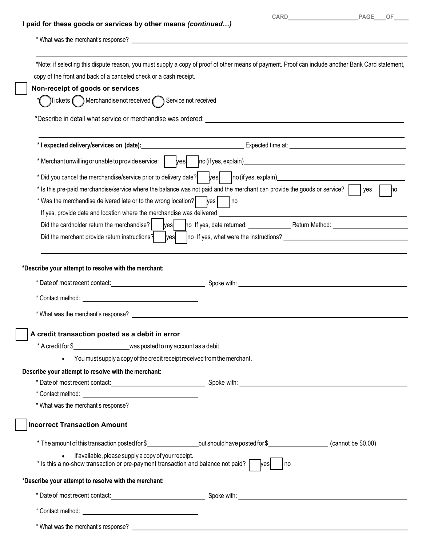## I paid for these goods or services by other means (continued…)

| <b>CARD CARD</b><br>I paid for these goods or services by other means (continued)<br>copy of the front and back of a canceled check or a cash receipt.<br>Non-receipt of goods or services<br>$\int$ Tickets $\bigodot$ Merchandise not received $\bigodot$ Service not received<br>*Describe in detail what service or merchandise was ordered: __<br>* I expected delivery/services on (date):<br>Expected time at:<br>* Did you cancel the merchandise/service prior to delivery date?   yes   no (ifyes, explain)<br>* Is this pre-paid merchandise/service where the balance was not paid and the merchant can provide the goods or service?    yes<br>* Was the merchandise delivered late or to the wrong location?   ves     no<br>*Describe your attempt to resolve with the merchant:<br>A credit transaction posted as a debit in error<br>* A credit for \$________________________was posted to my account as a debit.<br>• You must supply a copy of the credit receipt received from the merchant.<br>Describe your attempt to resolve with the merchant:<br><b>Incorrect Transaction Amount</b><br>* The amount of this transaction posted for \$_____________________but should have posted for \$__________________(cannot be \$0.00)<br>$\bullet$ If available, please supply a copy of your receipt.<br>$*$ Is this a no-show transaction or pre-payment transaction and balance not paid? $\lceil$<br>vesl<br>l no<br>*Describe your attempt to resolve with the merchant: |  |
|-------------------------------------------------------------------------------------------------------------------------------------------------------------------------------------------------------------------------------------------------------------------------------------------------------------------------------------------------------------------------------------------------------------------------------------------------------------------------------------------------------------------------------------------------------------------------------------------------------------------------------------------------------------------------------------------------------------------------------------------------------------------------------------------------------------------------------------------------------------------------------------------------------------------------------------------------------------------------------------------------------------------------------------------------------------------------------------------------------------------------------------------------------------------------------------------------------------------------------------------------------------------------------------------------------------------------------------------------------------------------------------------------------------------------------------------------------------------------------------------------|--|
| PAGE OF                                                                                                                                                                                                                                                                                                                                                                                                                                                                                                                                                                                                                                                                                                                                                                                                                                                                                                                                                                                                                                                                                                                                                                                                                                                                                                                                                                                                                                                                                         |  |
| *Note: if selecting this dispute reason, you must supply a copy of proof of other means of payment. Proof can include another Bank Card statement,<br>If yes, provide date and location where the merchandise was delivered <b>example 200 and 200 and 200 and 200 and 200 and 200 and 200 and 200 and 200 and 200 and 200 and 200 and 200 and 200 and 200 and 200 and 200 and 200 and</b><br>* Date of most recent contact: example and the set of most recent contact:                                                                                                                                                                                                                                                                                                                                                                                                                                                                                                                                                                                                                                                                                                                                                                                                                                                                                                                                                                                                                        |  |
|                                                                                                                                                                                                                                                                                                                                                                                                                                                                                                                                                                                                                                                                                                                                                                                                                                                                                                                                                                                                                                                                                                                                                                                                                                                                                                                                                                                                                                                                                                 |  |
|                                                                                                                                                                                                                                                                                                                                                                                                                                                                                                                                                                                                                                                                                                                                                                                                                                                                                                                                                                                                                                                                                                                                                                                                                                                                                                                                                                                                                                                                                                 |  |
|                                                                                                                                                                                                                                                                                                                                                                                                                                                                                                                                                                                                                                                                                                                                                                                                                                                                                                                                                                                                                                                                                                                                                                                                                                                                                                                                                                                                                                                                                                 |  |
|                                                                                                                                                                                                                                                                                                                                                                                                                                                                                                                                                                                                                                                                                                                                                                                                                                                                                                                                                                                                                                                                                                                                                                                                                                                                                                                                                                                                                                                                                                 |  |
|                                                                                                                                                                                                                                                                                                                                                                                                                                                                                                                                                                                                                                                                                                                                                                                                                                                                                                                                                                                                                                                                                                                                                                                                                                                                                                                                                                                                                                                                                                 |  |
|                                                                                                                                                                                                                                                                                                                                                                                                                                                                                                                                                                                                                                                                                                                                                                                                                                                                                                                                                                                                                                                                                                                                                                                                                                                                                                                                                                                                                                                                                                 |  |
|                                                                                                                                                                                                                                                                                                                                                                                                                                                                                                                                                                                                                                                                                                                                                                                                                                                                                                                                                                                                                                                                                                                                                                                                                                                                                                                                                                                                                                                                                                 |  |
|                                                                                                                                                                                                                                                                                                                                                                                                                                                                                                                                                                                                                                                                                                                                                                                                                                                                                                                                                                                                                                                                                                                                                                                                                                                                                                                                                                                                                                                                                                 |  |
|                                                                                                                                                                                                                                                                                                                                                                                                                                                                                                                                                                                                                                                                                                                                                                                                                                                                                                                                                                                                                                                                                                                                                                                                                                                                                                                                                                                                                                                                                                 |  |
|                                                                                                                                                                                                                                                                                                                                                                                                                                                                                                                                                                                                                                                                                                                                                                                                                                                                                                                                                                                                                                                                                                                                                                                                                                                                                                                                                                                                                                                                                                 |  |
|                                                                                                                                                                                                                                                                                                                                                                                                                                                                                                                                                                                                                                                                                                                                                                                                                                                                                                                                                                                                                                                                                                                                                                                                                                                                                                                                                                                                                                                                                                 |  |
|                                                                                                                                                                                                                                                                                                                                                                                                                                                                                                                                                                                                                                                                                                                                                                                                                                                                                                                                                                                                                                                                                                                                                                                                                                                                                                                                                                                                                                                                                                 |  |
|                                                                                                                                                                                                                                                                                                                                                                                                                                                                                                                                                                                                                                                                                                                                                                                                                                                                                                                                                                                                                                                                                                                                                                                                                                                                                                                                                                                                                                                                                                 |  |
|                                                                                                                                                                                                                                                                                                                                                                                                                                                                                                                                                                                                                                                                                                                                                                                                                                                                                                                                                                                                                                                                                                                                                                                                                                                                                                                                                                                                                                                                                                 |  |
|                                                                                                                                                                                                                                                                                                                                                                                                                                                                                                                                                                                                                                                                                                                                                                                                                                                                                                                                                                                                                                                                                                                                                                                                                                                                                                                                                                                                                                                                                                 |  |
|                                                                                                                                                                                                                                                                                                                                                                                                                                                                                                                                                                                                                                                                                                                                                                                                                                                                                                                                                                                                                                                                                                                                                                                                                                                                                                                                                                                                                                                                                                 |  |
|                                                                                                                                                                                                                                                                                                                                                                                                                                                                                                                                                                                                                                                                                                                                                                                                                                                                                                                                                                                                                                                                                                                                                                                                                                                                                                                                                                                                                                                                                                 |  |
|                                                                                                                                                                                                                                                                                                                                                                                                                                                                                                                                                                                                                                                                                                                                                                                                                                                                                                                                                                                                                                                                                                                                                                                                                                                                                                                                                                                                                                                                                                 |  |
|                                                                                                                                                                                                                                                                                                                                                                                                                                                                                                                                                                                                                                                                                                                                                                                                                                                                                                                                                                                                                                                                                                                                                                                                                                                                                                                                                                                                                                                                                                 |  |
|                                                                                                                                                                                                                                                                                                                                                                                                                                                                                                                                                                                                                                                                                                                                                                                                                                                                                                                                                                                                                                                                                                                                                                                                                                                                                                                                                                                                                                                                                                 |  |
|                                                                                                                                                                                                                                                                                                                                                                                                                                                                                                                                                                                                                                                                                                                                                                                                                                                                                                                                                                                                                                                                                                                                                                                                                                                                                                                                                                                                                                                                                                 |  |
|                                                                                                                                                                                                                                                                                                                                                                                                                                                                                                                                                                                                                                                                                                                                                                                                                                                                                                                                                                                                                                                                                                                                                                                                                                                                                                                                                                                                                                                                                                 |  |
|                                                                                                                                                                                                                                                                                                                                                                                                                                                                                                                                                                                                                                                                                                                                                                                                                                                                                                                                                                                                                                                                                                                                                                                                                                                                                                                                                                                                                                                                                                 |  |
|                                                                                                                                                                                                                                                                                                                                                                                                                                                                                                                                                                                                                                                                                                                                                                                                                                                                                                                                                                                                                                                                                                                                                                                                                                                                                                                                                                                                                                                                                                 |  |
|                                                                                                                                                                                                                                                                                                                                                                                                                                                                                                                                                                                                                                                                                                                                                                                                                                                                                                                                                                                                                                                                                                                                                                                                                                                                                                                                                                                                                                                                                                 |  |
|                                                                                                                                                                                                                                                                                                                                                                                                                                                                                                                                                                                                                                                                                                                                                                                                                                                                                                                                                                                                                                                                                                                                                                                                                                                                                                                                                                                                                                                                                                 |  |
|                                                                                                                                                                                                                                                                                                                                                                                                                                                                                                                                                                                                                                                                                                                                                                                                                                                                                                                                                                                                                                                                                                                                                                                                                                                                                                                                                                                                                                                                                                 |  |
|                                                                                                                                                                                                                                                                                                                                                                                                                                                                                                                                                                                                                                                                                                                                                                                                                                                                                                                                                                                                                                                                                                                                                                                                                                                                                                                                                                                                                                                                                                 |  |
|                                                                                                                                                                                                                                                                                                                                                                                                                                                                                                                                                                                                                                                                                                                                                                                                                                                                                                                                                                                                                                                                                                                                                                                                                                                                                                                                                                                                                                                                                                 |  |
|                                                                                                                                                                                                                                                                                                                                                                                                                                                                                                                                                                                                                                                                                                                                                                                                                                                                                                                                                                                                                                                                                                                                                                                                                                                                                                                                                                                                                                                                                                 |  |
|                                                                                                                                                                                                                                                                                                                                                                                                                                                                                                                                                                                                                                                                                                                                                                                                                                                                                                                                                                                                                                                                                                                                                                                                                                                                                                                                                                                                                                                                                                 |  |
|                                                                                                                                                                                                                                                                                                                                                                                                                                                                                                                                                                                                                                                                                                                                                                                                                                                                                                                                                                                                                                                                                                                                                                                                                                                                                                                                                                                                                                                                                                 |  |
|                                                                                                                                                                                                                                                                                                                                                                                                                                                                                                                                                                                                                                                                                                                                                                                                                                                                                                                                                                                                                                                                                                                                                                                                                                                                                                                                                                                                                                                                                                 |  |
|                                                                                                                                                                                                                                                                                                                                                                                                                                                                                                                                                                                                                                                                                                                                                                                                                                                                                                                                                                                                                                                                                                                                                                                                                                                                                                                                                                                                                                                                                                 |  |
|                                                                                                                                                                                                                                                                                                                                                                                                                                                                                                                                                                                                                                                                                                                                                                                                                                                                                                                                                                                                                                                                                                                                                                                                                                                                                                                                                                                                                                                                                                 |  |
|                                                                                                                                                                                                                                                                                                                                                                                                                                                                                                                                                                                                                                                                                                                                                                                                                                                                                                                                                                                                                                                                                                                                                                                                                                                                                                                                                                                                                                                                                                 |  |
|                                                                                                                                                                                                                                                                                                                                                                                                                                                                                                                                                                                                                                                                                                                                                                                                                                                                                                                                                                                                                                                                                                                                                                                                                                                                                                                                                                                                                                                                                                 |  |
|                                                                                                                                                                                                                                                                                                                                                                                                                                                                                                                                                                                                                                                                                                                                                                                                                                                                                                                                                                                                                                                                                                                                                                                                                                                                                                                                                                                                                                                                                                 |  |
|                                                                                                                                                                                                                                                                                                                                                                                                                                                                                                                                                                                                                                                                                                                                                                                                                                                                                                                                                                                                                                                                                                                                                                                                                                                                                                                                                                                                                                                                                                 |  |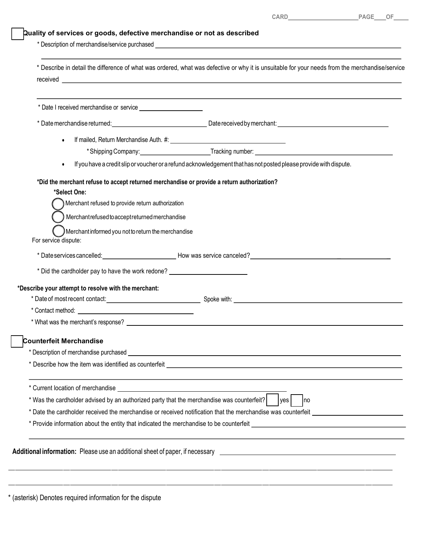| CARD_ | PAGE___OF____ |  |  |
|-------|---------------|--|--|
|       |               |  |  |
|       |               |  |  |
|       |               |  |  |

| Quality of services or goods, defective merchandise or not as described |
|-------------------------------------------------------------------------|
| * Description of merchandise/service purchased                          |
|                                                                         |

|                                                                                                                                                                                                                                                                                                 | CARD PAGE OF                                                                                                                                                                                                                       |
|-------------------------------------------------------------------------------------------------------------------------------------------------------------------------------------------------------------------------------------------------------------------------------------------------|------------------------------------------------------------------------------------------------------------------------------------------------------------------------------------------------------------------------------------|
| Quality of services or goods, defective merchandise or not as described                                                                                                                                                                                                                         |                                                                                                                                                                                                                                    |
|                                                                                                                                                                                                                                                                                                 | * Describe in detail the difference of what was ordered, what was defective or why it is unsuitable for your needs from the merchandise/service                                                                                    |
|                                                                                                                                                                                                                                                                                                 |                                                                                                                                                                                                                                    |
|                                                                                                                                                                                                                                                                                                 |                                                                                                                                                                                                                                    |
|                                                                                                                                                                                                                                                                                                 | If mailed, Return Merchandise Auth. #: \\connect{\bmail@{\bmailed}}}                                                                                                                                                               |
|                                                                                                                                                                                                                                                                                                 | If you have a credit slip or voucher or a refund acknowledgement that has not posted please provide with dispute.                                                                                                                  |
| *Did the merchant refuse to accept returned merchandise or provide a return authorization?<br>*Select One:<br>Merchant refused to provide return authorization<br>Merchantrefused to accept returned merchandise<br>Merchant informed you not to return the merchandise<br>For service dispute: | * Date services cancelled: Notice that the How was service canceled?                                                                                                                                                               |
| * Did the cardholder pay to have the work redone? ______________________________                                                                                                                                                                                                                |                                                                                                                                                                                                                                    |
| *Describe your attempt to resolve with the merchant:<br>* Contact method: New York Contact method:                                                                                                                                                                                              |                                                                                                                                                                                                                                    |
| <b>Counterfeit Merchandise</b>                                                                                                                                                                                                                                                                  |                                                                                                                                                                                                                                    |
|                                                                                                                                                                                                                                                                                                 | and the control of the control of the control of the control of the control of the control of the control of the                                                                                                                   |
| * Was the cardholder advised by an authorized party that the merchandise was counterfeit? $ $ $ $ yes $ $ $ $ no                                                                                                                                                                                | * Date the cardholder received the merchandise or received notification that the merchandise was counterfeit __________________________<br>* Provide information about the entity that indicated the merchandise to be counterfeit |
|                                                                                                                                                                                                                                                                                                 | Additional information: Please use an additional sheet of paper, if necessary <b>ending to all and the set of paper</b>                                                                                                            |
| * (asterisk) Denotes required information for the dispute                                                                                                                                                                                                                                       |                                                                                                                                                                                                                                    |